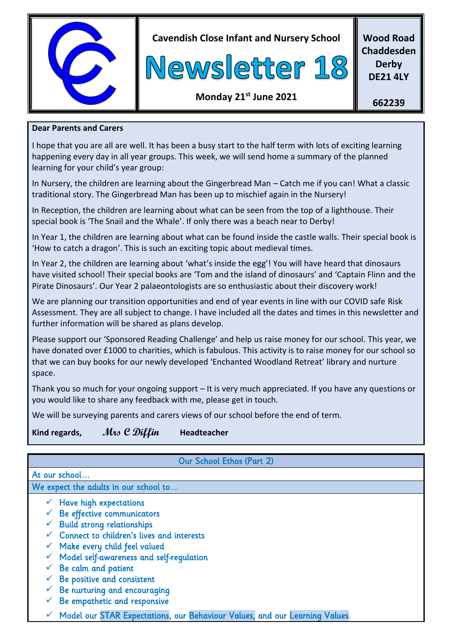

**Cavendish Close Infant and Nursery School**



**Wood Road Chaddesden Derby DE21 4LY**

## **Monday 21st June 2021**

**662239**

#### **Dear Parents and Carers**

I hope that you are all are well. It has been a busy start to the half term with lots of exciting learning happening every day in all year groups. This week, we will send home a summary of the planned learning for your child's year group:

In Nursery, the children are learning about the Gingerbread Man – Catch me if you can! What a classic traditional story. The Gingerbread Man has been up to mischief again in the Nursery!

In Reception, the children are learning about what can be seen from the top of a lighthouse. Their special book is 'The Snail and the Whale'. If only there was a beach near to Derby!

In Year 1, the children are learning about what can be found inside the castle walls. Their special book is 'How to catch a dragon'. This is such an exciting topic about medieval times.

In Year 2, the children are learning about 'what's inside the egg'! You will have heard that dinosaurs have visited school! Their special books are 'Tom and the island of dinosaurs' and 'Captain Flinn and the Pirate Dinosaurs'. Our Year 2 palaeontologists are so enthusiastic about their discovery work!

We are planning our transition opportunities and end of year events in line with our COVID safe Risk Assessment. They are all subject to change. I have included all the dates and times in this newsletter and further information will be shared as plans develop.

Please support our 'Sponsored Reading Challenge' and help us raise money for our school. This year, we have donated over £1000 to charities, which is fabulous. This activity is to raise money for our school so that we can buy books for our newly developed 'Enchanted Woodland Retreat' library and nurture space.

Thank you so much for your ongoing support – It is very much appreciated. If you have any questions or you would like to share any feedback with me, please get in touch.

We will be surveying parents and carers views of our school before the end of term.

| Kind regards, | Mrs C Diffin | Headteacher |
|---------------|--------------|-------------|
|---------------|--------------|-------------|

# Our School Ethos (Part 2)

At our school…

We expect the adults in our school to...

- $\checkmark$  Have high expectations
- $\checkmark$  Be effective communicators
- $\checkmark$  Build strong relationships
- $\checkmark$  Connect to children's lives and interests
- $\checkmark$  Make every child feel valued
- $\checkmark$  Model self-awareness and self-requlation
- $\checkmark$  Be calm and patient
- $\checkmark$  Be positive and consistent
- $\checkmark$  Be nurturing and encouraging
- Be empathetic and responsive
- Model our STAR Expectations, our Behaviour Values, and our Learning Values.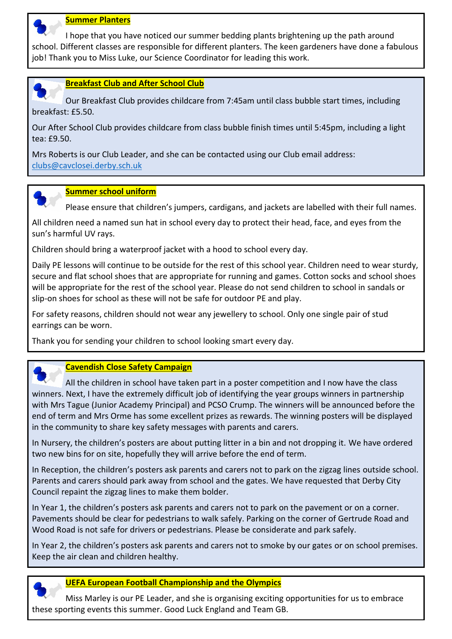

#### **Summer Planters**

 I hope that you have noticed our summer bedding plants brightening up the path around school. Different classes are responsible for different planters. The keen gardeners have done a fabulous job! Thank you to Miss Luke, our Science Coordinator for leading this work.



 Our Breakfast Club provides childcare from 7:45am until class bubble start times, including breakfast: £5.50.

Our After School Club provides childcare from class bubble finish times until 5:45pm, including a light tea: £9.50.

Mrs Roberts is our Club Leader, and she can be contacted using our Club email address: [clubs@cavclosei.derby.sch.uk](mailto:clubs@cavclosei.derby.sch.uk)



#### **Summer school uniform**

Please ensure that children's jumpers, cardigans, and jackets are labelled with their full names.

All children need a named sun hat in school every day to protect their head, face, and eyes from the sun's harmful UV rays.

Children should bring a waterproof jacket with a hood to school every day.

Daily PE lessons will continue to be outside for the rest of this school year. Children need to wear sturdy, secure and flat school shoes that are appropriate for running and games. Cotton socks and school shoes will be appropriate for the rest of the school year. Please do not send children to school in sandals or slip-on shoes for school as these will not be safe for outdoor PE and play.

For safety reasons, children should not wear any jewellery to school. Only one single pair of stud earrings can be worn.

Thank you for sending your children to school looking smart every day.



#### **Cavendish Close Safety Campaign**

 All the children in school have taken part in a poster competition and I now have the class winners. Next, I have the extremely difficult job of identifying the year groups winners in partnership with Mrs Tague (Junior Academy Principal) and PCSO Crump. The winners will be announced before the end of term and Mrs Orme has some excellent prizes as rewards. The winning posters will be displayed in the community to share key safety messages with parents and carers.

In Nursery, the children's posters are about putting litter in a bin and not dropping it. We have ordered two new bins for on site, hopefully they will arrive before the end of term.

In Reception, the children's posters ask parents and carers not to park on the zigzag lines outside school. Parents and carers should park away from school and the gates. We have requested that Derby City Council repaint the zigzag lines to make them bolder.

In Year 1, the children's posters ask parents and carers not to park on the pavement or on a corner. Pavements should be clear for pedestrians to walk safely. Parking on the corner of Gertrude Road and Wood Road is not safe for drivers or pedestrians. Please be considerate and park safely.

In Year 2, the children's posters ask parents and carers not to smoke by our gates or on school premises. Keep the air clean and children healthy.



#### **UEFA European Football Championship and the Olympics**

 Miss Marley is our PE Leader, and she is organising exciting opportunities for us to embrace these sporting events this summer. Good Luck England and Team GB.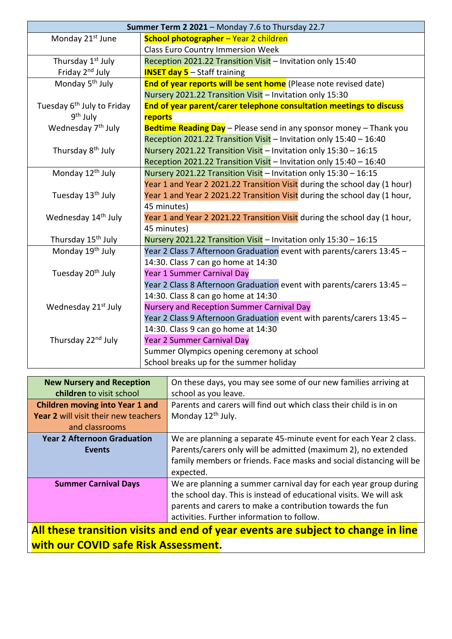| Summer Term 2 2021 - Monday 7.6 to Thursday 22.7 |                                                                           |  |
|--------------------------------------------------|---------------------------------------------------------------------------|--|
| Monday 21 <sup>st</sup> June                     | School photographer - Year 2 children                                     |  |
|                                                  | <b>Class Euro Country Immersion Week</b>                                  |  |
| Thursday 1 <sup>st</sup> July                    | Reception 2021.22 Transition Visit - Invitation only 15:40                |  |
| Friday 2 <sup>nd</sup> July                      | <b>INSET day 5</b> - Staff training                                       |  |
| Monday 5 <sup>th</sup> July                      | End of year reports will be sent home (Please note revised date)          |  |
|                                                  | Nursery 2021.22 Transition Visit - Invitation only 15:30                  |  |
| Tuesday 6 <sup>th</sup> July to Friday           | End of year parent/carer telephone consultation meetings to discuss       |  |
| 9 <sup>th</sup> July                             | reports                                                                   |  |
| Wednesday 7 <sup>th</sup> July                   | Bedtime Reading Day - Please send in any sponsor money - Thank you        |  |
|                                                  | Reception 2021.22 Transition Visit - Invitation only 15:40 - 16:40        |  |
| Thursday 8 <sup>th</sup> July                    | Nursery 2021.22 Transition Visit - Invitation only 15:30 - 16:15          |  |
|                                                  | Reception 2021.22 Transition Visit - Invitation only 15:40 - 16:40        |  |
| Monday 12 <sup>th</sup> July                     | Nursery 2021.22 Transition Visit - Invitation only 15:30 - 16:15          |  |
|                                                  | Year 1 and Year 2 2021.22 Transition Visit during the school day (1 hour) |  |
| Tuesday 13 <sup>th</sup> July                    | Year 1 and Year 2 2021.22 Transition Visit during the school day (1 hour, |  |
|                                                  | 45 minutes)                                                               |  |
| Wednesday 14 <sup>th</sup> July                  | Year 1 and Year 2 2021.22 Transition Visit during the school day (1 hour, |  |
|                                                  | 45 minutes)                                                               |  |
| Thursday 15 <sup>th</sup> July                   | Nursery 2021.22 Transition Visit - Invitation only 15:30 - 16:15          |  |
| Monday 19 <sup>th</sup> July                     | Year 2 Class 7 Afternoon Graduation event with parents/carers 13:45 -     |  |
|                                                  | 14:30. Class 7 can go home at 14:30                                       |  |
| Tuesday 20 <sup>th</sup> July                    | Year 1 Summer Carnival Day                                                |  |
|                                                  | Year 2 Class 8 Afternoon Graduation event with parents/carers 13:45 -     |  |
|                                                  | 14:30. Class 8 can go home at 14:30                                       |  |
| Wednesday 21 <sup>st</sup> July                  | Nursery and Reception Summer Carnival Day                                 |  |
|                                                  | Year 2 Class 9 Afternoon Graduation event with parents/carers 13:45 -     |  |
|                                                  | 14:30. Class 9 can go home at 14:30                                       |  |
| Thursday 22 <sup>nd</sup> July                   | Year 2 Summer Carnival Day                                                |  |
|                                                  | Summer Olympics opening ceremony at school                                |  |
|                                                  | School breaks up for the summer holiday                                   |  |

| <b>New Nursery and Reception</b>                                                 | On these days, you may see some of our new families arriving at     |  |
|----------------------------------------------------------------------------------|---------------------------------------------------------------------|--|
| children to visit school                                                         | school as you leave.                                                |  |
| <b>Children moving into Year 1 and</b>                                           | Parents and carers will find out which class their child is in on   |  |
| Year 2 will visit their new teachers                                             | Monday 12 <sup>th</sup> July.                                       |  |
| and classrooms                                                                   |                                                                     |  |
| <b>Year 2 Afternoon Graduation</b>                                               | We are planning a separate 45-minute event for each Year 2 class.   |  |
| Events                                                                           | Parents/carers only will be admitted (maximum 2), no extended       |  |
|                                                                                  | family members or friends. Face masks and social distancing will be |  |
|                                                                                  | expected.                                                           |  |
| <b>Summer Carnival Days</b>                                                      | We are planning a summer carnival day for each year group during    |  |
|                                                                                  | the school day. This is instead of educational visits. We will ask  |  |
|                                                                                  | parents and carers to make a contribution towards the fun           |  |
|                                                                                  | activities. Further information to follow.                          |  |
| All these transition visits and end of year events are subject to change in line |                                                                     |  |

**with our COVID safe Risk Assessment.**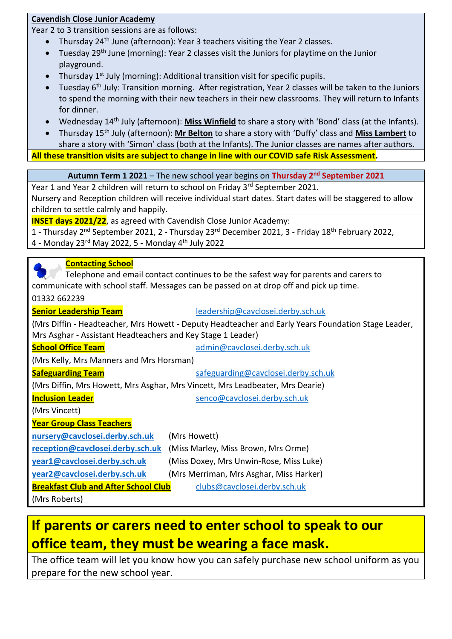#### **Cavendish Close Junior Academy**

Year 2 to 3 transition sessions are as follows:

- Thursday  $24<sup>th</sup>$  June (afternoon): Year 3 teachers visiting the Year 2 classes.
- Tuesday 29<sup>th</sup> June (morning): Year 2 classes visit the Juniors for playtime on the Junior playground.
- Thursday  $1^{st}$  July (morning): Additional transition visit for specific pupils.
- Tuesday 6<sup>th</sup> July: Transition morning. After registration, Year 2 classes will be taken to the Juniors to spend the morning with their new teachers in their new classrooms. They will return to Infants for dinner.
- Wednesday 14th July (afternoon): **Miss Winfield** to share a story with 'Bond' class (at the Infants).
- Thursday 15th July (afternoon): **Mr Belton** to share a story with 'Duffy' class and **Miss Lambert** to share a story with 'Simon' class (both at the Infants). The Junior classes are names after authors.

**All these transition visits are subject to change in line with our COVID safe Risk Assessment.**

**Autumn Term 1 2021** – The new school year begins on **Thursday 2nd September 2021**

Year 1 and Year 2 children will return to school on Friday 3<sup>rd</sup> September 2021.

Nursery and Reception children will receive individual start dates. Start dates will be staggered to allow children to settle calmly and happily.

**INSET days 2021/22**, as agreed with Cavendish Close Junior Academy:

1 - Thursday 2nd September 2021, 2 - Thursday 23rd December 2021, 3 - Friday 18th February 2022, 4 - Monday 23rd May 2022, 5 - Monday 4th July 2022

#### **Contacting School**

 Telephone and email contact continues to be the safest way for parents and carers to communicate with school staff. Messages can be passed on at drop off and pick up time.

01332 662239

| <b>Senior Leadership Team</b> |
|-------------------------------|
|-------------------------------|

**Senior Leadership Team** [leadership@cavclosei.derby.sch.uk](mailto:leadership@cavclosei.derby.sch.uk)

(Mrs Diffin - Headteacher, Mrs Howett - Deputy Headteacher and Early Years Foundation Stage Leader, Mrs Asghar - Assistant Headteachers and Key Stage 1 Leader)

| <b>School Office Team</b>                                                     | admin@cavclosei.derby.sch.uk            |  |  |  |
|-------------------------------------------------------------------------------|-----------------------------------------|--|--|--|
| (Mrs Kelly, Mrs Manners and Mrs Horsman)                                      |                                         |  |  |  |
| <b>Safeguarding Team</b>                                                      | safeguarding@cavclosei.derby.sch.uk     |  |  |  |
| (Mrs Diffin, Mrs Howett, Mrs Asghar, Mrs Vincett, Mrs Leadbeater, Mrs Dearie) |                                         |  |  |  |
| <b>Inclusion Leader</b>                                                       | senco@cavclosei.derby.sch.uk            |  |  |  |
| (Mrs Vincett)                                                                 |                                         |  |  |  |
| <b>Year Group Class Teachers</b>                                              |                                         |  |  |  |
| nursery@cavclosei.derby.sch.uk                                                | (Mrs Howett)                            |  |  |  |
| reception@cavclosei.derby.sch.uk                                              | (Miss Marley, Miss Brown, Mrs Orme)     |  |  |  |
| year1@cavclosei.derby.sch.uk                                                  | (Miss Doxey, Mrs Unwin-Rose, Miss Luke) |  |  |  |
| year2@cavclosei.derby.sch.uk                                                  | (Mrs Merriman, Mrs Asghar, Miss Harker) |  |  |  |
| <b>Breakfast Club and After School Club</b>                                   | clubs@cavclosei.derby.sch.uk            |  |  |  |
| (Mrs Roberts)                                                                 |                                         |  |  |  |

# **If parents or carers need to enter school to speak to our office team, they must be wearing a face mask.**

The office team will let you know how you can safely purchase new school uniform as you prepare for the new school year.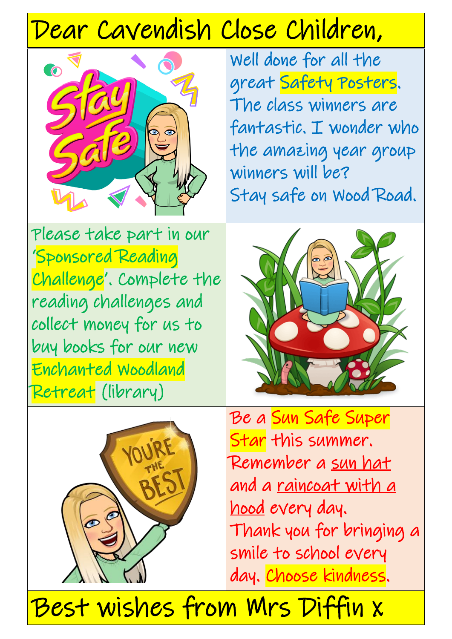# Dear Cavendish Close Children,



Well done for all the great Safety Posters. The class winners are fantastic. I wonder who the amazing year group winners will be? Stay safe on Wood Road.

Please take part in our 'Sponsored Reading Challenge'. Complete the reading challenges and collect money for us to buy books for our new Enchanted Woodland Retreat (library)





Be a Sun Safe Super Star this summer. Remember a sun hat and a raincoat with a hood every day. Thank you for bringing a smile to school every day. Choose kindness.

Best wishes from Mrs Diffin x